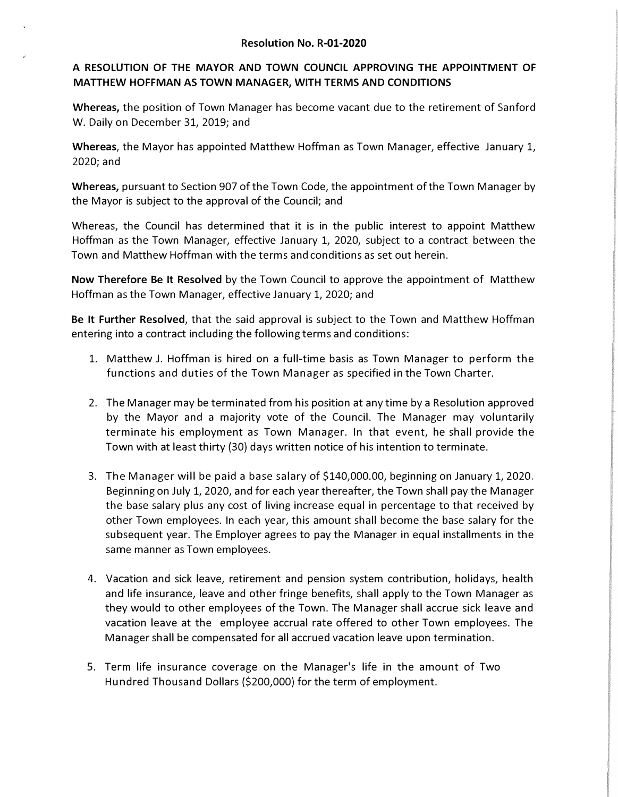## **A RESOLUTION OF THE MAYOR AND TOWN COUNCIL APPROVING THE APPOINTMENT OF MATTHEW HOFFMAN AS TOWN MANAGER, WITH TERMS AND CONDITIONS**

**Whereas,** the position of Town Manager has become vacant due to the retirement of Sanford W. Daily on December 31, 2019; and

**Whereas,** the Mayor has appointed Matthew Hoffman as Town Manager, effective January 1, 2020;and

**Whereas,** pursuant to Section 907 of the Town Code, the appointment of the Town Manager by the Mayor is subject to the approval of the Council; and

Whereas, the Council has determined that it is in the public interest to appoint Matthew Hoffman as the Town Manager, effective January 1, 2020, subject to a contract between the Town and Matthew Hoffman with the terms andconditions as set out herein.

**Now Therefore Be It Resolved** by the Town Council to approve the appointment of Matthew Hoffman as the Town Manager, effective January 1, 2020; and

**Be It Further Resolved,** that the said approval is subject to the Town and Matthew Hoffman entering into a contract including the following terms and conditions:

- 1. Matthew J. Hoffman is hired on a full-time basis as Town Manager to perform the functions and duties of the Town Manager as specified in the Town Charter.
- 2. The Manager may be terminated from his position at any time by a Resolution approved by the Mayor and a majority vote of the Council. The Manager may voluntarily terminate his employment as Town Manager. In that event, he shall provide the Town with at least thirty (30) days written notice of his intention to terminate.
- 3. The Manager will be paid a base salary of \$140,000.00, beginning on January 1, 2020. Beginning on July 1, 2020, and for each year thereafter, the Town shall pay the Manager the base salary plus any cost of living increase equal in percentage to that received by other Town employees. In each year, this amount shall become the base salary for the subsequent year. The Employer agrees to pay the Manager in equal installments in the same manner as Town employees.
- 4. Vacation and sick leave, retirement and pension system contribution, holidays, health and life insurance, leave and other fringe benefits, shall apply to the Town Manager as they would to other employees of the Town. The Manager shall accrue sick leave and vacation leave at the employee accrual rate offered to other Town employees. The Manager shall be compensated for all accrued vacation leave upon termination.
- 5. Term life insurance coverage on the Manager's life in the amount of Two Hundred Thousand Dollars (\$200,000) for the term of employment.